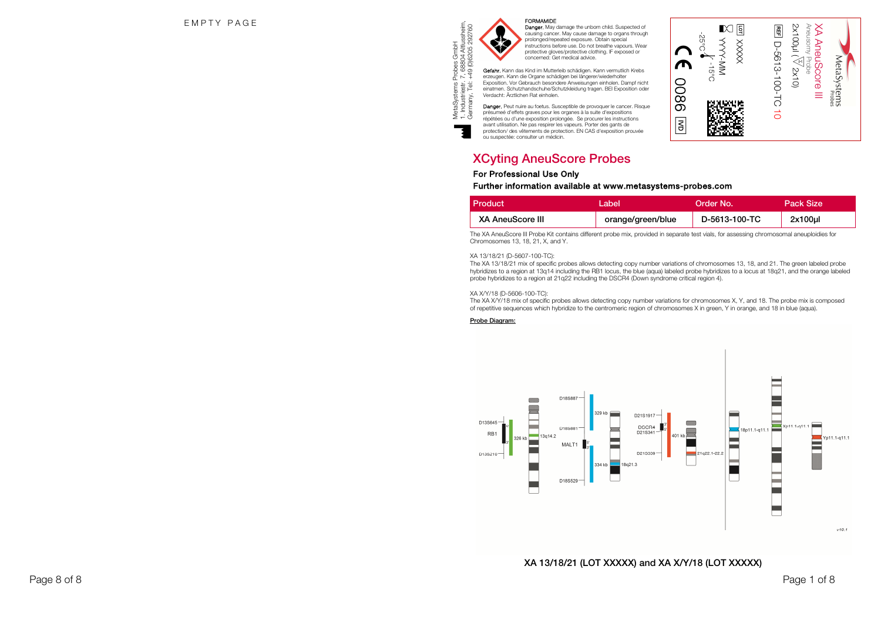

MetaSystems Probes GmbH 1. Industriestr. 7, 68804 Altlussheim,

M

FORMAMIDE<br>Danger. May damage the unborn child. Suspected of causing cancer. May cause damage to organs through prolonged/repeated exposure. Obtain special instructions before use. Do not breathe vapours. Wear protective gloves/protective clothing. IF exposed or concerned: Get medical advice.

s Probes GmbH<br>r. 7, 68804 Altlussheim,<br>t. +49 (0)6205 292760 Germany, Tel: +49 (0)6205 292760 Gefahr. Kann das Kind im Mutterleib schädigen. Kann vermutlich Krebs erzeugen. Kann die Organe schädigen bei längerer/wiederholter Exposition. Vor Gebrauch besondere Anweisungen einholen. Dampf nicht einatmen. Schutzhandschuhe/Schutzkleidung tragen. BEI Exposition oder Verdacht: Ärztlichen Rat einholen.

Danger. Peut nuire au foetus. Susceptible de provoquer le cancer. Risque présumeé d'effets graves pour les organes à la suite d'expositions répétées ou d'une exposition prolongée. Se procurer les instructions avant utilisation. Ne pas respirer les vapeurs. Porter des gants de protection/ des vêtements de protection. EN CAS d'exposition prouvée ou suspectée: consulter un médicin.



| <b>Product</b>          | ∟abel             | Order No.     | Pack Size  |
|-------------------------|-------------------|---------------|------------|
| <b>XA AneuScore III</b> | orange/green/blue | D-5613-100-TC | $2x100$ ul |

r

0086

-25°C

l. -15°C

 $\tilde{\mathbb{E}}$   $\mathbb{E}$ XXXXX YYYY -MM

2x100µl ( XA AneuScore III X2x10) h D-5613-100-TC 10

Aneusomy Probe

MetaSystems

 $\overline{\mathbf{S}}$ 

The XA AneuScore III Probe Kit contains different probe mix, provided in separate test vials, for assessing chromosomal aneuploidies for Chromosomes 13, 18, 21, X, and Y.

#### XA 13/18/21 (D-5607-100-TC):

 The XA 13/18/21 mix of specific probes allows detecting copy number variations of chromosomes 13, 18, and 21. The green labeled probe hybridizes to a region at 13q14 including the RB1 locus, the blue (aqua) labeled probe hybridizes to a locus at 18q21, and the orange labeled probe hybridizes to a region at 21q22 including the DSCR4 (Down syndrome critical region 4).

#### XA X/Y/18 (D-5606-100-TC):

 The XA X/Y/18 mix of specific probes allows detecting copy number variations for chromosomes X, Y, and 18. The probe mix is composed of repetitive sequences which hybridize to the centromeric region of chromosomes X in green, Y in orange, and 18 in blue (aqua).

#### Probe Diagram:



# XA 13/18/21 (LOT XXXXX) and XA X/Y/18 (LOT XXXXX)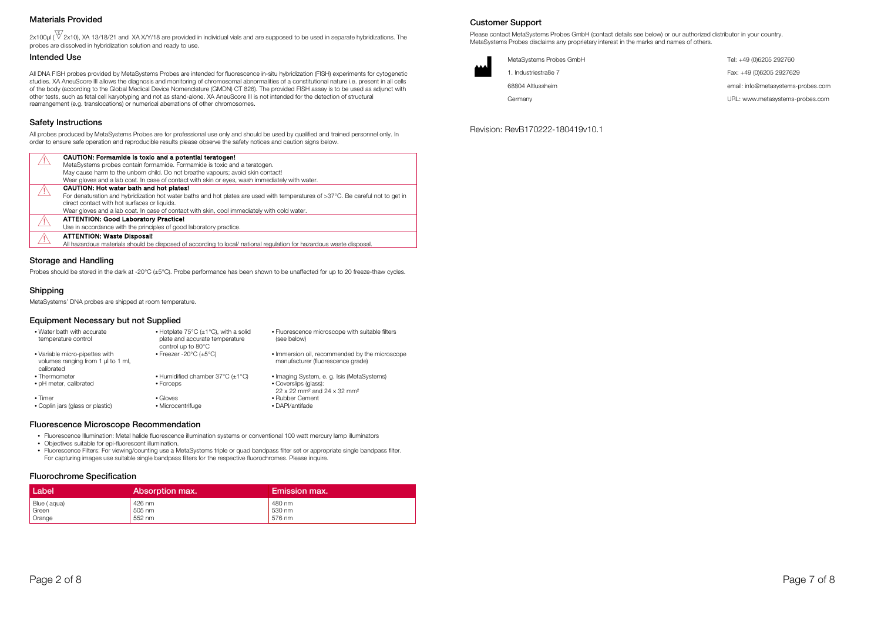# Materials Provided

 $2x100\mu$  ( $\sqrt[3]{2x10}$ ), XA 13/18/21 and XA X/Y/18 are provided in individual vials and are supposed to be used in separate hybridizations. The probes are dissolved in hybridization solution and ready to use.

#### Intended Use

All DNA FISH probes provided by MetaSystems Probes are intended for fluorescence in-situ hybridization (FISH) experiments for cytogenetic studies. XA AneuScore III allows the diagnosis and monitoring of chromosomal abnormalities of a constitutional nature i.e. present in all cells of the body (according to the Global Medical Device Nomenclature (GMDN) CT 826). The provided FISH assay is to be used as adjunct with other tests, such as fetal cell karyotyping and not as stand-alone. XA AneuScore III is not intended for the detection of structural rearrangement (e.g. translocations) or numerical aberrations of other chromosomes.

#### Safety Instructions

All probes produced by MetaSystems Probes are for professional use only and should be used by qualified and trained personnel only. In order to ensure safe operation and reproducible results please observe the safety notices and caution signs below.

| CAUTION: Formamide is toxic and a potential teratogen!                                                                          |
|---------------------------------------------------------------------------------------------------------------------------------|
| MetaSystems probes contain formamide. Formamide is toxic and a teratogen.                                                       |
| May cause harm to the unborn child. Do not breathe vapours; avoid skin contact!                                                 |
| Wear gloves and a lab coat. In case of contact with skin or eyes, wash immediately with water.                                  |
| CAUTION: Hot water bath and hot plates!                                                                                         |
| For denaturation and hybridization hot water baths and hot plates are used with temperatures of >37°C. Be careful not to get in |
| direct contact with hot surfaces or liquids.                                                                                    |
| Wear gloves and a lab coat. In case of contact with skin, cool immediately with cold water.                                     |
| <b>ATTENTION: Good Laboratory Practice!</b>                                                                                     |
| Use in accordance with the principles of good laboratory practice.                                                              |
| <b>ATTENTION: Waste Disposal!</b>                                                                                               |
| All hazardous materials should be disposed of according to local/national regulation for hazardous waste disposal.              |

Probes should be stored in the dark at -20°C (±5°C). Probe performance has been shown to be unaffected for up to 20 freeze-thaw cycles.

# Shipping

MetaSystems' DNA probes are shipped at room temperature.

#### Equipment Necessary but not Supplied

| • Water bath with accurate<br>temperature control                                  | • Hotplate $75^{\circ}$ C ( $\pm$ 1 $^{\circ}$ C), with a solid<br>plate and accurate temperature<br>control up to 80°C | • Fluorescence microscope with suitable filters<br>(see below)                      |
|------------------------------------------------------------------------------------|-------------------------------------------------------------------------------------------------------------------------|-------------------------------------------------------------------------------------|
| • Variable micro-pipettes with<br>volumes ranging from 1 µl to 1 ml,<br>calibrated | $\cdot$ Freezer -20°C ( $\pm$ 5°C)                                                                                      | . Immersion oil, recommended by the microscope<br>manufacturer (fluorescence grade) |
| • Thermometer                                                                      | • Humidified chamber $37^{\circ}$ C ( $\pm$ 1 $^{\circ}$ C)                                                             | • Imaging System, e. g. Isis (MetaSystems)                                          |
| • pH meter, calibrated                                                             | • Forceps                                                                                                               | • Coverslips (glass):<br>22 x 22 mm <sup>2</sup> and 24 x 32 mm <sup>2</sup>        |
| $\cdot$ Timer                                                                      | $\bullet$ Gloves                                                                                                        | • Rubber Cement                                                                     |
| • Coplin jars (glass or plastic)                                                   | • Microcentrifuge                                                                                                       | • DAPI/antifade                                                                     |

#### Fluorescence Microscope Recommendation

• Fluorescence Illumination: Metal halide fluorescence illumination systems or conventional 100 watt mercury lamp illuminators

- Objectives suitable for epi-fluorescent illumination.
- Fluorescence Filters: For viewing/counting use a MetaSystems triple or quad bandpass filter set or appropriate single bandpass filter. For capturing images use suitable single bandpass filters for the respective fluorochromes. Please inquire.

#### Fluorochrome Specification

| Label       | Absorption max. | Emission max. |
|-------------|-----------------|---------------|
| Blue (aqua) | 426 nm          | 480 nm        |
| Green       | 505 nm          | 530 nm        |
| Orange      | 552 nm          | 576 nm        |

# Customer Support

Please contact MetaSystems Probes GmbH (contact details see below) or our authorized distributor in your country. MetaSystems Probes disclaims any proprietary interest in the marks and names of others.

| الممم | MetaSystems Probes GmbH | Tel: +49 (0)6205 292760            |
|-------|-------------------------|------------------------------------|
|       | 1. Industriestraße 7    | Fax: +49 (0)6205 2927629           |
|       | 68804 Altlussheim       | email: info@metasystems-probes.com |
|       | Germanv                 | URL: www.metasystems-probes.com    |

Revision: RevB170222-180419v10.1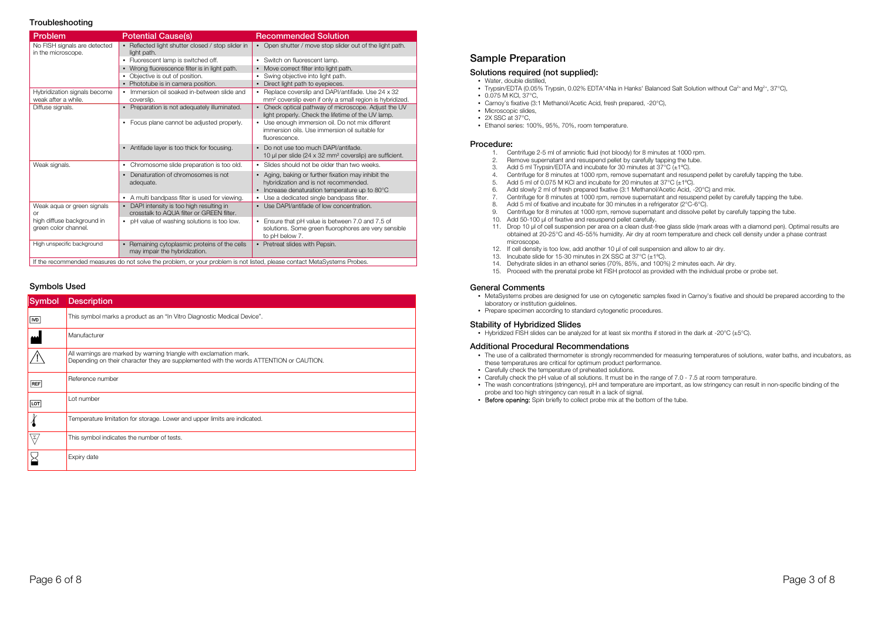#### **Troubleshooting**

| Problem                                             | <b>Potential Cause(s)</b>                                                                                               | <b>Recommended Solution</b>                                                                                                                    |
|-----------------------------------------------------|-------------------------------------------------------------------------------------------------------------------------|------------------------------------------------------------------------------------------------------------------------------------------------|
| No FISH signals are detected<br>in the microscope.  | • Reflected light shutter closed / stop slider in<br>light path.                                                        | • Open shutter / move stop slider out of the light path.                                                                                       |
|                                                     | • Fluorescent lamp is switched off.                                                                                     | • Switch on fluorescent lamp.                                                                                                                  |
|                                                     | • Wrong fluorescence filter is in light path.                                                                           | • Move correct filter into light path.                                                                                                         |
|                                                     | Objective is out of position.                                                                                           | • Swing objective into light path.                                                                                                             |
|                                                     | • Phototube is in camera position.                                                                                      | Direct light path to eyepieces.                                                                                                                |
| Hybridization signals become<br>weak after a while. | • Immersion oil soaked in-between slide and<br>coverslip.                                                               | • Replace coverslip and DAPI/antifade. Use 24 x 32<br>mm <sup>2</sup> coverslip even if only a small region is hybridized.                     |
| Diffuse signals.                                    | • Preparation is not adequately illuminated.                                                                            | • Check optical pathway of microscope. Adjust the UV<br>light properly. Check the lifetime of the UV lamp.                                     |
|                                                     | • Focus plane cannot be adjusted properly.                                                                              | • Use enough immersion oil. Do not mix different<br>immersion oils. Use immersion oil suitable for<br>fluorescence.                            |
|                                                     | • Antifade layer is too thick for focusing.                                                                             | Do not use too much DAPI/antifade.<br>10 µl per slide (24 x 32 mm <sup>2</sup> coverslip) are sufficient.                                      |
| Weak signals.                                       | • Chromosome slide preparation is too old.                                                                              | • Slides should not be older than two weeks.                                                                                                   |
|                                                     | • Denaturation of chromosomes is not<br>adequate.                                                                       | • Aging, baking or further fixation may inhibit the<br>hybridization and is not recommended.<br>• Increase denaturation temperature up to 80°C |
|                                                     | • A multi bandpass filter is used for viewing.                                                                          | Use a dedicated single bandpass filter.                                                                                                        |
| Weak aqua or green signals<br>0r                    | • DAPI intensity is too high resulting in<br>crosstalk to AQUA filter or GRFFN filter.                                  | • Use DAPI/antifade of low concentration.                                                                                                      |
| high diffuse background in<br>green color channel.  | • pH value of washing solutions is too low.                                                                             | Ensure that pH value is between 7.0 and 7.5 of<br>solutions. Some green fluorophores are very sensible<br>to pH below 7.                       |
| High unspecific background                          | • Remaining cytoplasmic proteins of the cells<br>may impair the hybridization.                                          | • Pretreat slides with Pepsin.                                                                                                                 |
|                                                     | If the recommended measures do not solve the problem, or your problem is not listed, please contact MetaSystems Probes. |                                                                                                                                                |

#### Symbols Used

| <b>Symbol</b>        | <b>Description</b>                                                                                                                                            |
|----------------------|---------------------------------------------------------------------------------------------------------------------------------------------------------------|
| <b>MD</b>            | This symbol marks a product as an "In Vitro Diagnostic Medical Device".                                                                                       |
| لىم                  | Manufacturer                                                                                                                                                  |
|                      | All warnings are marked by warning triangle with exclamation mark.<br>Depending on their character they are supplemented with the words ATTENTION or CAUTION. |
| <b>REF</b>           | Reference number                                                                                                                                              |
| $\boxed{\text{tot}}$ | Lot number                                                                                                                                                    |
|                      | Temperature limitation for storage. Lower and upper limits are indicated.                                                                                     |
| ١Σ,                  | This symbol indicates the number of tests.                                                                                                                    |
|                      | Expiry date                                                                                                                                                   |

# Sample Preparation

#### Solutions required (not supplied):

- Water, double distilled,
- Trypsin/EDTA (0.05% Trypsin, 0.02% EDTA\*4Na in Hanks' Balanced Salt Solution without Ca<sup>2+</sup> and Mg<sup>2+</sup>, 37°C),
- 0.075 M KCl, 37°C,
- Carnoy's fixative (3:1 Methanol/Acetic Acid, fresh prepared, -20°C),
- Microscopic slides,
- $\cdot$  2X SSC at 37 $^{\circ}$ C,
- Ethanol series: 100%, 95%, 70%, room temperature.

#### Procedure:

- 1. Centrifuge 2-5 ml of amniotic fluid (not bloody) for 8 minutes at 1000 rpm.
- 2. Remove supernatant and resuspend pellet by carefully tapping the tube.
- 3. Add 5 ml Trypsin/EDTA and incubate for 30 minutes at 37°C (±1ºC).
- 4. Centrifuge for 8 minutes at 1000 rpm, remove supernatant and resuspend pellet by carefully tapping the tube.
- 5. Add 5 ml of 0.075 M KCl and incubate for 20 minutes at 37 $\mathrm{^{\circ}C}$  ( $\mathrm{\pm 1\mathrm{^{\circ}C}}$ ).
- 6. Add slowly 2 ml of fresh prepared fixative (3:1 Methanol/Acetic Acid, -20°C) and mix.
- 7. Centrifuge for 8 minutes at 1000 rpm, remove supernatant and resuspend pellet by carefully tapping the tube.
- 8. Add 5 ml of fixative and incubate for 30 minutes in a refrigerator (2°C-6°C).
- 9. Centrifuge for 8 minutes at 1000 rpm, remove supernatant and dissolve pellet by carefully tapping the tube.
- 10. Add 50-100 µl of fixative and resuspend pellet carefully.
- 11. Drop 10 µl of cell suspension per area on a clean dust-free glass slide (mark areas with a diamond pen). Optimal results are obtained at 20-25°C and 45-55% humidity. Air dry at room temperature and check cell density under a phase contrast microscope
- 12. If cell density is too low, add another 10 µl of cell suspension and allow to air dry.
- 13. Incubate slide for 15-30 minutes in 2X SSC at 37°C (±1ºC).
- 14. Dehydrate slides in an ethanol series (70%, 85%, and 100%) 2 minutes each. Air dry.
- 15. Proceed with the prenatal probe kit FISH protocol as provided with the individual probe or probe set.

# General Comments

- MetaSystems probes are designed for use on cytogenetic samples fixed in Carnoy's fixative and should be prepared according to the laboratory or institution guidelines.
- Prepare specimen according to standard cytogenetic procedures.

#### Stability of Hybridized Slides

• Hybridized FISH slides can be analyzed for at least six months if stored in the dark at -20°C (±5°C).

#### Additional Procedural Recommendations

- The use of a calibrated thermometer is strongly recommended for measuring temperatures of solutions, water baths, and incubators, as these temperatures are critical for optimum product performance.
- Carefully check the temperature of preheated solutions.
- Carefully check the pH value of all solutions. It must be in the range of 7.0 7.5 at room temperature.
- The wash concentrations (stringency), pH and temperature are important, as low stringency can result in non-specific binding of the probe and too high stringency can result in a lack of signal.
- Before opening: Spin briefly to collect probe mix at the bottom of the tube.